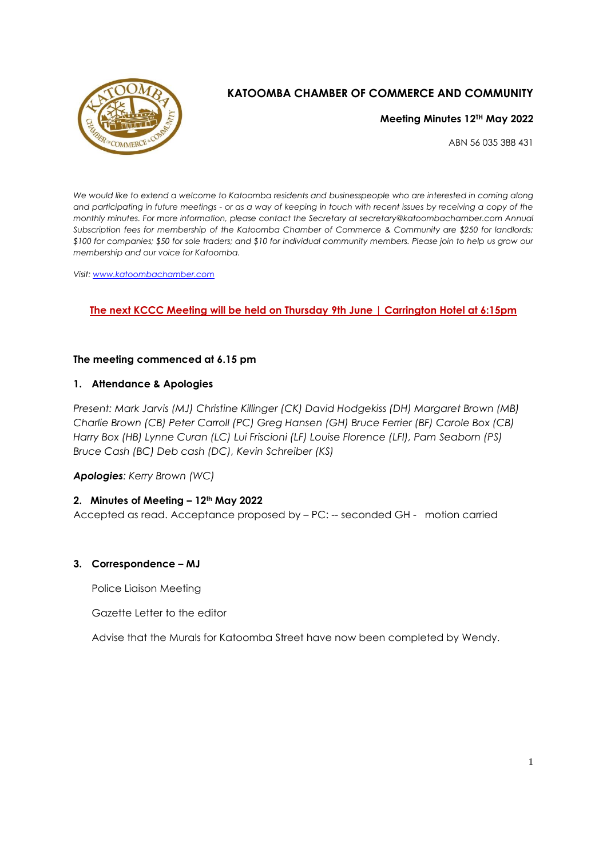

# **KATOOMBA CHAMBER OF COMMERCE AND COMMUNITY**

**Meeting Minutes 12TH May 2022**

ABN 56 035 388 431

*We would like to extend a welcome to Katoomba residents and businesspeople who are interested in coming along and participating in future meetings - or as a way of keeping in touch with recent issues by receiving a copy of the monthly minutes. For more information, please contact the Secretary at secretary@katoombachamber.com Annual Subscription fees for membership of the Katoomba Chamber of Commerce & Community are \$250 for landlords; \$100 for companies; \$50 for sole traders; and \$10 for individual community members. Please join to help us grow our membership and our voice for Katoomba.* 

*Visit: [www.katoombachamber.com](http://www.katoombachamber.com/)*

# **The next KCCC Meeting will be held on Thursday 9th June | Carrington Hotel at 6:15pm**

### **The meeting commenced at 6.15 pm**

### **1. Attendance & Apologies**

*Present: Mark Jarvis (MJ) Christine Killinger (CK) David Hodgekiss (DH) Margaret Brown (MB) Charlie Brown (CB) Peter Carroll (PC) Greg Hansen (GH) Bruce Ferrier (BF) Carole Box (CB) Harry Box (HB) Lynne Curan (LC) Lui Friscioni (LF) Louise Florence (LFI), Pam Seaborn (PS) Bruce Cash (BC) Deb cash (DC), Kevin Schreiber (KS)*

*Apologies: Kerry Brown (WC)*

# **2. Minutes of Meeting – 12th May 2022**

Accepted as read. Acceptance proposed by – PC: -- seconded GH - motion carried

#### **3. Correspondence – MJ**

Police Liaison Meeting

Gazette Letter to the editor

Advise that the Murals for Katoomba Street have now been completed by Wendy.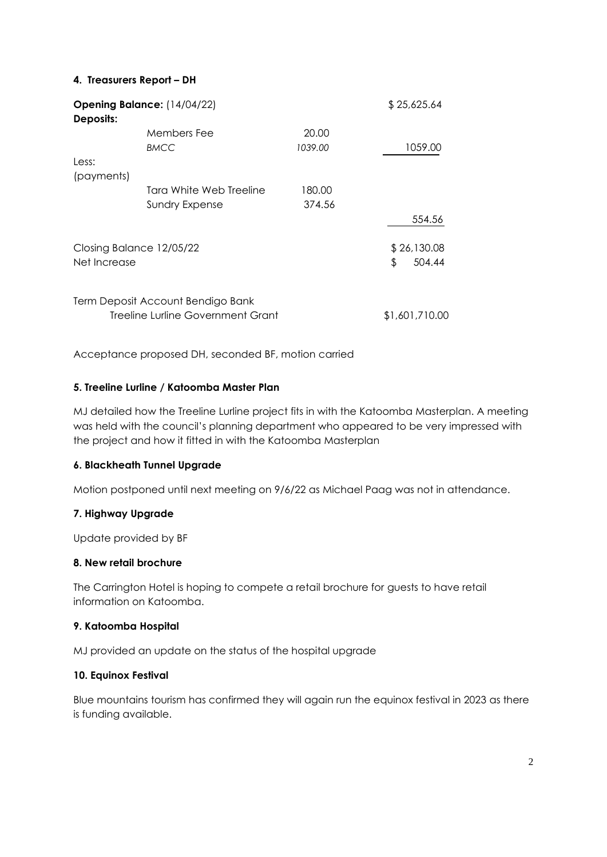## **4. Treasurers Report – DH**

| <b>Opening Balance:</b> (14/04/22)<br>Deposits: |                                   |         | \$25,625.64    |
|-------------------------------------------------|-----------------------------------|---------|----------------|
|                                                 | Members Fee                       | 20.00   |                |
|                                                 | <b>BMCC</b>                       | 1039.00 | 1059.00        |
| Less:                                           |                                   |         |                |
| (payments)                                      |                                   |         |                |
|                                                 | Tara White Web Treeline           | 180.00  |                |
|                                                 | <b>Sundry Expense</b>             | 374.56  |                |
|                                                 |                                   |         | 554.56         |
| Closing Balance 12/05/22                        |                                   |         | \$26,130.08    |
| Net Increase                                    |                                   |         | 504.44<br>\$   |
|                                                 | Term Deposit Account Bendigo Bank |         |                |
| Treeline Lurline Government Grant               |                                   |         | \$1,601,710.00 |

Acceptance proposed DH, seconded BF, motion carried

### **5. Treeline Lurline / Katoomba Master Plan**

MJ detailed how the Treeline Lurline project fits in with the Katoomba Masterplan. A meeting was held with the council's planning department who appeared to be very impressed with the project and how it fitted in with the Katoomba Masterplan

#### **6. Blackheath Tunnel Upgrade**

Motion postponed until next meeting on 9/6/22 as Michael Paag was not in attendance.

#### **7. Highway Upgrade**

Update provided by BF

#### **8. New retail brochure**

The Carrington Hotel is hoping to compete a retail brochure for guests to have retail information on Katoomba.

#### **9. Katoomba Hospital**

MJ provided an update on the status of the hospital upgrade

# **10. Equinox Festival**

Blue mountains tourism has confirmed they will again run the equinox festival in 2023 as there is funding available.